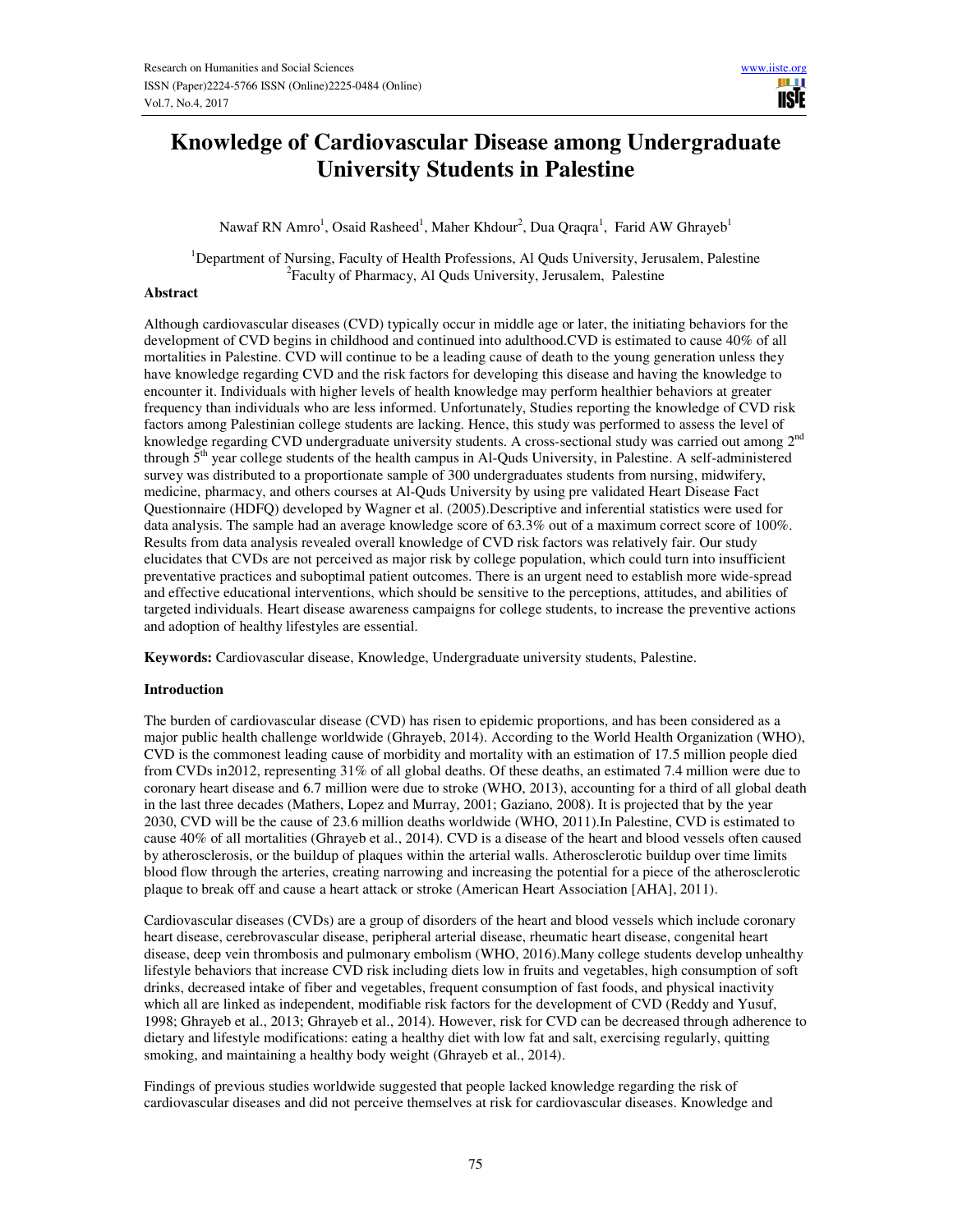# **Knowledge of Cardiovascular Disease among Undergraduate University Students in Palestine**

Nawaf RN Amro<sup>1</sup>, Osaid Rasheed<sup>1</sup>, Maher Khdour<sup>2</sup>, Dua Qraqra<sup>1</sup>, Farid AW Ghrayeb<sup>1</sup>

<sup>1</sup>Department of Nursing, Faculty of Health Professions, Al Quds University, Jerusalem, Palestine 2 Faculty of Pharmacy, Al Quds University, Jerusalem, Palestine

#### **Abstract**

Although cardiovascular diseases (CVD) typically occur in middle age or later, the initiating behaviors for the development of CVD begins in childhood and continued into adulthood.CVD is estimated to cause 40% of all mortalities in Palestine. CVD will continue to be a leading cause of death to the young generation unless they have knowledge regarding CVD and the risk factors for developing this disease and having the knowledge to encounter it. Individuals with higher levels of health knowledge may perform healthier behaviors at greater frequency than individuals who are less informed. Unfortunately, Studies reporting the knowledge of CVD risk factors among Palestinian college students are lacking. Hence, this study was performed to assess the level of knowledge regarding CVD undergraduate university students. A cross-sectional study was carried out among 2<sup>nd</sup> through  $5<sup>th</sup>$  year college students of the health campus in Al-Quds University, in Palestine. A self-administered survey was distributed to a proportionate sample of 300 undergraduates students from nursing, midwifery, medicine, pharmacy, and others courses at Al-Quds University by using pre validated Heart Disease Fact Questionnaire (HDFQ) developed by Wagner et al. (2005).Descriptive and inferential statistics were used for data analysis. The sample had an average knowledge score of 63.3% out of a maximum correct score of 100%. Results from data analysis revealed overall knowledge of CVD risk factors was relatively fair. Our study elucidates that CVDs are not perceived as major risk by college population, which could turn into insufficient preventative practices and suboptimal patient outcomes. There is an urgent need to establish more wide-spread and effective educational interventions, which should be sensitive to the perceptions, attitudes, and abilities of targeted individuals. Heart disease awareness campaigns for college students, to increase the preventive actions and adoption of healthy lifestyles are essential.

**Keywords:** Cardiovascular disease, Knowledge, Undergraduate university students, Palestine.

# **Introduction**

The burden of cardiovascular disease (CVD) has risen to epidemic proportions, and has been considered as a major public health challenge worldwide (Ghrayeb, 2014). According to the World Health Organization (WHO), CVD is the commonest leading cause of morbidity and mortality with an estimation of 17.5 million people died from CVDs in2012, representing 31% of all global deaths. Of these deaths, an estimated 7.4 million were due to coronary heart disease and 6.7 million were due to stroke (WHO, 2013), accounting for a third of all global death in the last three decades (Mathers, Lopez and Murray, 2001; Gaziano, 2008). It is projected that by the year 2030, CVD will be the cause of 23.6 million deaths worldwide (WHO, 2011).In Palestine, CVD is estimated to cause 40% of all mortalities (Ghrayeb et al., 2014). CVD is a disease of the heart and blood vessels often caused by atherosclerosis, or the buildup of plaques within the arterial walls. Atherosclerotic buildup over time limits blood flow through the arteries, creating narrowing and increasing the potential for a piece of the atherosclerotic plaque to break off and cause a heart attack or stroke (American Heart Association [AHA], 2011).

Cardiovascular diseases (CVDs) are a group of disorders of the heart and blood vessels which include coronary heart disease, cerebrovascular disease, peripheral arterial disease, rheumatic heart disease, congenital heart disease, deep vein thrombosis and pulmonary embolism (WHO, 2016).Many college students develop unhealthy lifestyle behaviors that increase CVD risk including diets low in fruits and vegetables, high consumption of soft drinks, decreased intake of fiber and vegetables, frequent consumption of fast foods, and physical inactivity which all are linked as independent, modifiable risk factors for the development of CVD (Reddy and Yusuf, 1998; Ghrayeb et al., 2013; Ghrayeb et al., 2014). However, risk for CVD can be decreased through adherence to dietary and lifestyle modifications: eating a healthy diet with low fat and salt, exercising regularly, quitting smoking, and maintaining a healthy body weight (Ghrayeb et al., 2014).

Findings of previous studies worldwide suggested that people lacked knowledge regarding the risk of cardiovascular diseases and did not perceive themselves at risk for cardiovascular diseases. Knowledge and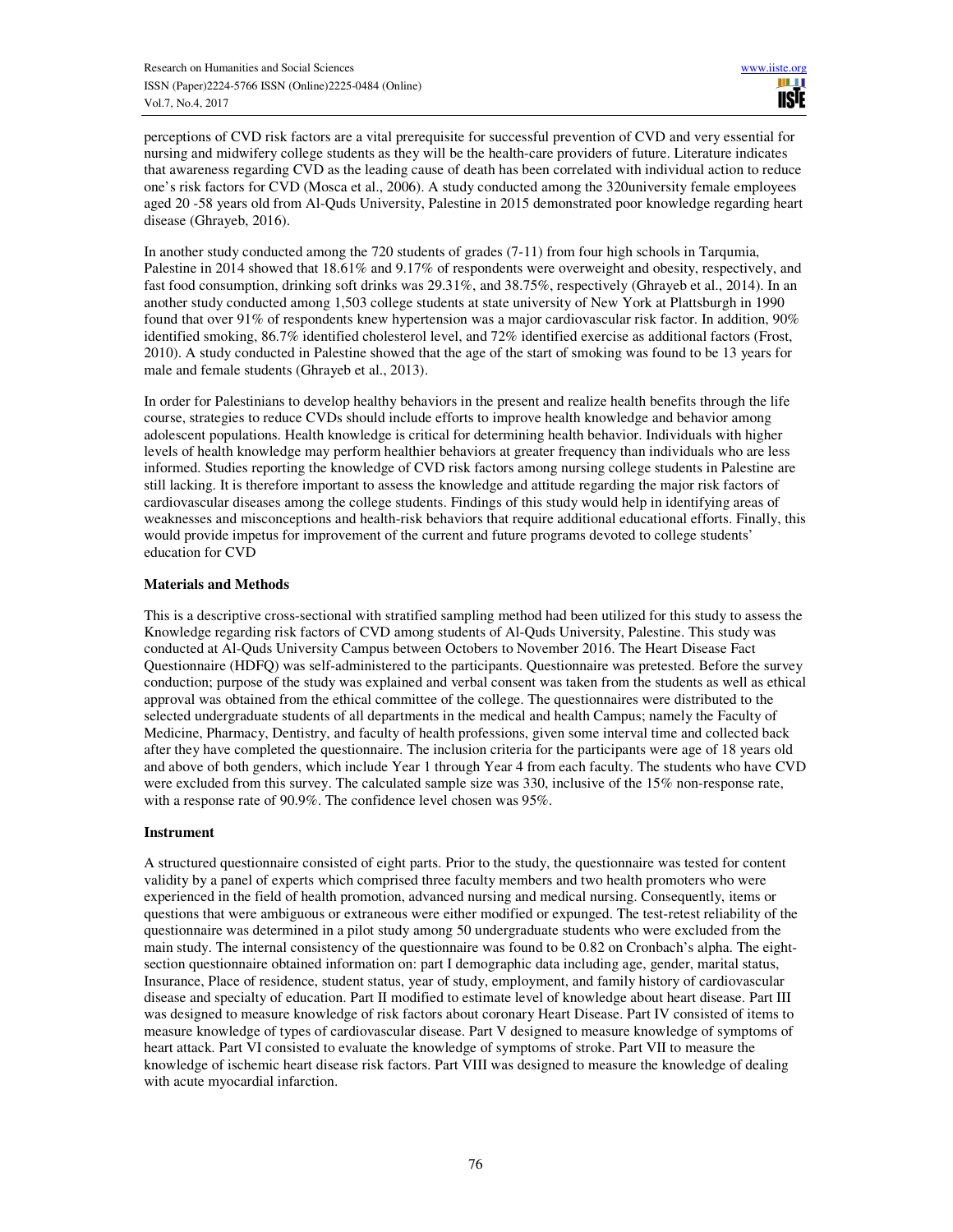perceptions of CVD risk factors are a vital prerequisite for successful prevention of CVD and very essential for nursing and midwifery college students as they will be the health-care providers of future. Literature indicates that awareness regarding CVD as the leading cause of death has been correlated with individual action to reduce one's risk factors for CVD (Mosca et al., 2006). A study conducted among the 320university female employees aged 20 -58 years old from Al-Quds University, Palestine in 2015 demonstrated poor knowledge regarding heart disease (Ghrayeb, 2016).

In another study conducted among the 720 students of grades (7-11) from four high schools in Tarqumia, Palestine in 2014 showed that 18.61% and 9.17% of respondents were overweight and obesity, respectively, and fast food consumption, drinking soft drinks was 29.31%, and 38.75%, respectively (Ghrayeb et al., 2014). In an another study conducted among 1,503 college students at state university of New York at Plattsburgh in 1990 found that over 91% of respondents knew hypertension was a major cardiovascular risk factor. In addition, 90% identified smoking, 86.7% identified cholesterol level, and 72% identified exercise as additional factors (Frost, 2010). A study conducted in Palestine showed that the age of the start of smoking was found to be 13 years for male and female students (Ghrayeb et al., 2013).

In order for Palestinians to develop healthy behaviors in the present and realize health benefits through the life course, strategies to reduce CVDs should include efforts to improve health knowledge and behavior among adolescent populations. Health knowledge is critical for determining health behavior. Individuals with higher levels of health knowledge may perform healthier behaviors at greater frequency than individuals who are less informed. Studies reporting the knowledge of CVD risk factors among nursing college students in Palestine are still lacking. It is therefore important to assess the knowledge and attitude regarding the major risk factors of cardiovascular diseases among the college students. Findings of this study would help in identifying areas of weaknesses and misconceptions and health-risk behaviors that require additional educational efforts. Finally, this would provide impetus for improvement of the current and future programs devoted to college students' education for CVD

#### **Materials and Methods**

This is a descriptive cross-sectional with stratified sampling method had been utilized for this study to assess the Knowledge regarding risk factors of CVD among students of Al-Quds University, Palestine. This study was conducted at Al-Quds University Campus between Octobers to November 2016. The Heart Disease Fact Questionnaire (HDFQ) was self-administered to the participants. Questionnaire was pretested. Before the survey conduction; purpose of the study was explained and verbal consent was taken from the students as well as ethical approval was obtained from the ethical committee of the college. The questionnaires were distributed to the selected undergraduate students of all departments in the medical and health Campus; namely the Faculty of Medicine, Pharmacy, Dentistry, and faculty of health professions, given some interval time and collected back after they have completed the questionnaire. The inclusion criteria for the participants were age of 18 years old and above of both genders, which include Year 1 through Year 4 from each faculty. The students who have CVD were excluded from this survey. The calculated sample size was 330, inclusive of the 15% non-response rate, with a response rate of 90.9%. The confidence level chosen was 95%.

#### **Instrument**

A structured questionnaire consisted of eight parts. Prior to the study, the questionnaire was tested for content validity by a panel of experts which comprised three faculty members and two health promoters who were experienced in the field of health promotion, advanced nursing and medical nursing. Consequently, items or questions that were ambiguous or extraneous were either modified or expunged. The test-retest reliability of the questionnaire was determined in a pilot study among 50 undergraduate students who were excluded from the main study. The internal consistency of the questionnaire was found to be 0.82 on Cronbach's alpha. The eightsection questionnaire obtained information on: part I demographic data including age, gender, marital status, Insurance, Place of residence, student status, year of study, employment, and family history of cardiovascular disease and specialty of education. Part II modified to estimate level of knowledge about heart disease. Part III was designed to measure knowledge of risk factors about coronary Heart Disease. Part IV consisted of items to measure knowledge of types of cardiovascular disease. Part V designed to measure knowledge of symptoms of heart attack. Part VI consisted to evaluate the knowledge of symptoms of stroke. Part VII to measure the knowledge of ischemic heart disease risk factors. Part VIII was designed to measure the knowledge of dealing with acute myocardial infarction.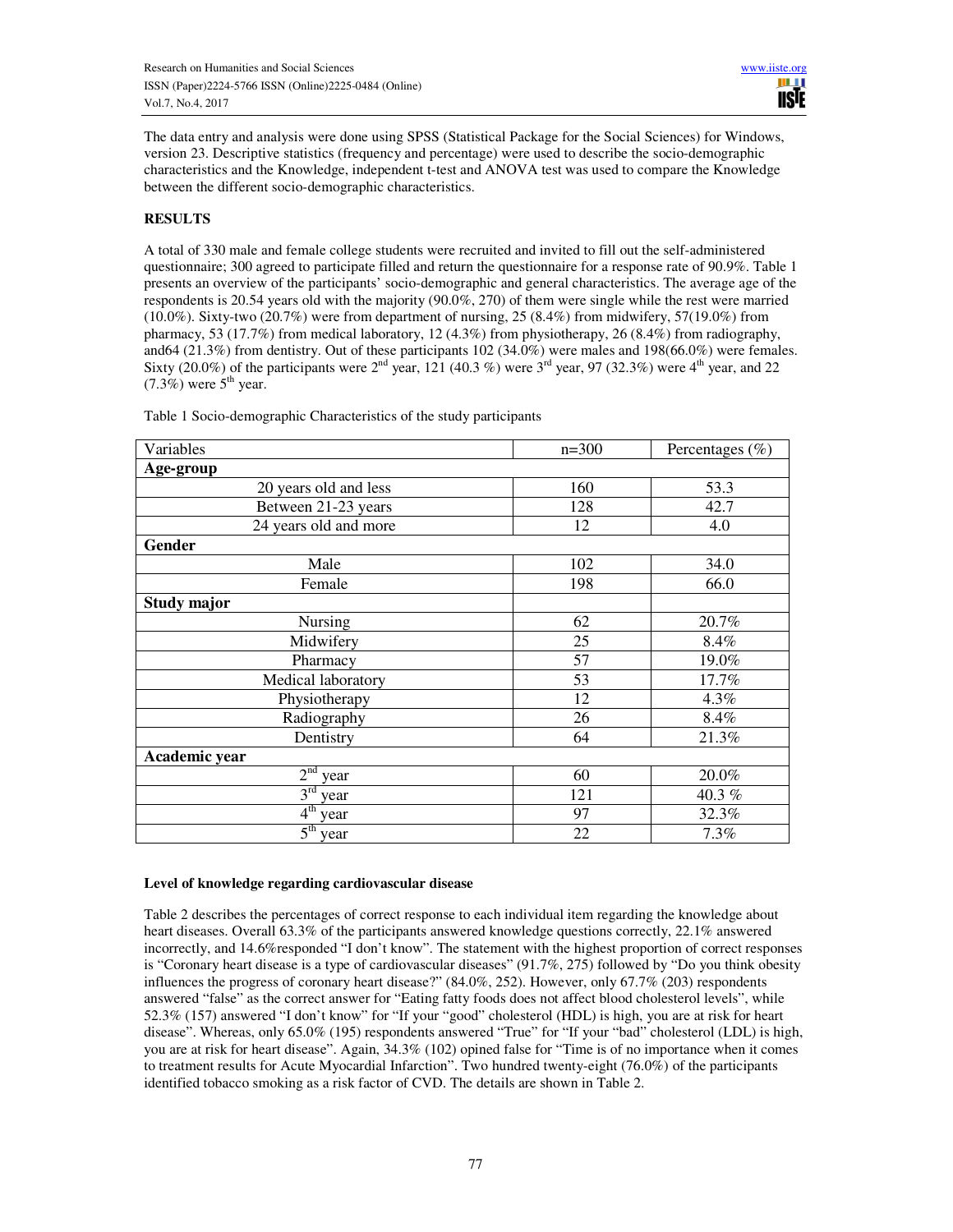The data entry and analysis were done using SPSS (Statistical Package for the Social Sciences) for Windows, version 23. Descriptive statistics (frequency and percentage) were used to describe the socio-demographic characteristics and the Knowledge, independent t-test and ANOVA test was used to compare the Knowledge between the different socio-demographic characteristics.

# **RESULTS**

A total of 330 male and female college students were recruited and invited to fill out the self-administered questionnaire; 300 agreed to participate filled and return the questionnaire for a response rate of 90.9%. Table 1 presents an overview of the participants' socio-demographic and general characteristics. The average age of the respondents is 20.54 years old with the majority (90.0%, 270) of them were single while the rest were married (10.0%). Sixty-two (20.7%) were from department of nursing, 25 (8.4%) from midwifery, 57(19.0%) from pharmacy, 53 (17.7%) from medical laboratory, 12 (4.3%) from physiotherapy, 26 (8.4%) from radiography, and64 (21.3%) from dentistry. Out of these participants 102 (34.0%) were males and 198(66.0%) were females. Sixty (20.0%) of the participants were  $2<sup>nd</sup>$  year, 121 (40.3 %) were  $3<sup>rd</sup>$  year, 97 (32.3%) were  $4<sup>th</sup>$  year, and 22  $(7.3\%)$  were  $5<sup>th</sup>$  year.

| Variables               | $n=300$ | Percentages (%) |  |  |  |
|-------------------------|---------|-----------------|--|--|--|
| Age-group               |         |                 |  |  |  |
| 20 years old and less   | 160     | 53.3            |  |  |  |
| Between 21-23 years     | 128     | 42.7            |  |  |  |
| 24 years old and more   | 12      | 4.0             |  |  |  |
| Gender                  |         |                 |  |  |  |
| Male                    | 102     | 34.0            |  |  |  |
| Female                  | 198     | 66.0            |  |  |  |
| <b>Study major</b>      |         |                 |  |  |  |
| <b>Nursing</b>          | 62      | 20.7%           |  |  |  |
| Midwifery               | 25      | 8.4%            |  |  |  |
| Pharmacy                | 57      | 19.0%           |  |  |  |
| Medical laboratory      | 53      | 17.7%           |  |  |  |
| Physiotherapy           | 12      | 4.3%            |  |  |  |
| Radiography             | 26      | 8.4%            |  |  |  |
| Dentistry               | 64      | 21.3%           |  |  |  |
| Academic year           |         |                 |  |  |  |
| 2 <sup>nd</sup><br>year | 60      | 20.0%           |  |  |  |
| $3^{\text{rd}}$<br>year | 121     | 40.3%           |  |  |  |
| $4^{\text{th}}$<br>year | 97      | 32.3%           |  |  |  |
| $5th$ year              | 22      | 7.3%            |  |  |  |

Table 1 Socio-demographic Characteristics of the study participants

# **Level of knowledge regarding cardiovascular disease**

Table 2 describes the percentages of correct response to each individual item regarding the knowledge about heart diseases. Overall 63.3% of the participants answered knowledge questions correctly, 22.1% answered incorrectly, and 14.6%responded "I don't know". The statement with the highest proportion of correct responses is "Coronary heart disease is a type of cardiovascular diseases" (91.7%, 275) followed by "Do you think obesity influences the progress of coronary heart disease?" (84.0%, 252). However, only 67.7% (203) respondents answered "false" as the correct answer for "Eating fatty foods does not affect blood cholesterol levels", while 52.3% (157) answered "I don't know" for "If your "good" cholesterol (HDL) is high, you are at risk for heart disease". Whereas, only 65.0% (195) respondents answered "True" for "If your "bad" cholesterol (LDL) is high, you are at risk for heart disease". Again, 34.3% (102) opined false for "Time is of no importance when it comes to treatment results for Acute Myocardial Infarction". Two hundred twenty-eight (76.0%) of the participants identified tobacco smoking as a risk factor of CVD. The details are shown in Table 2.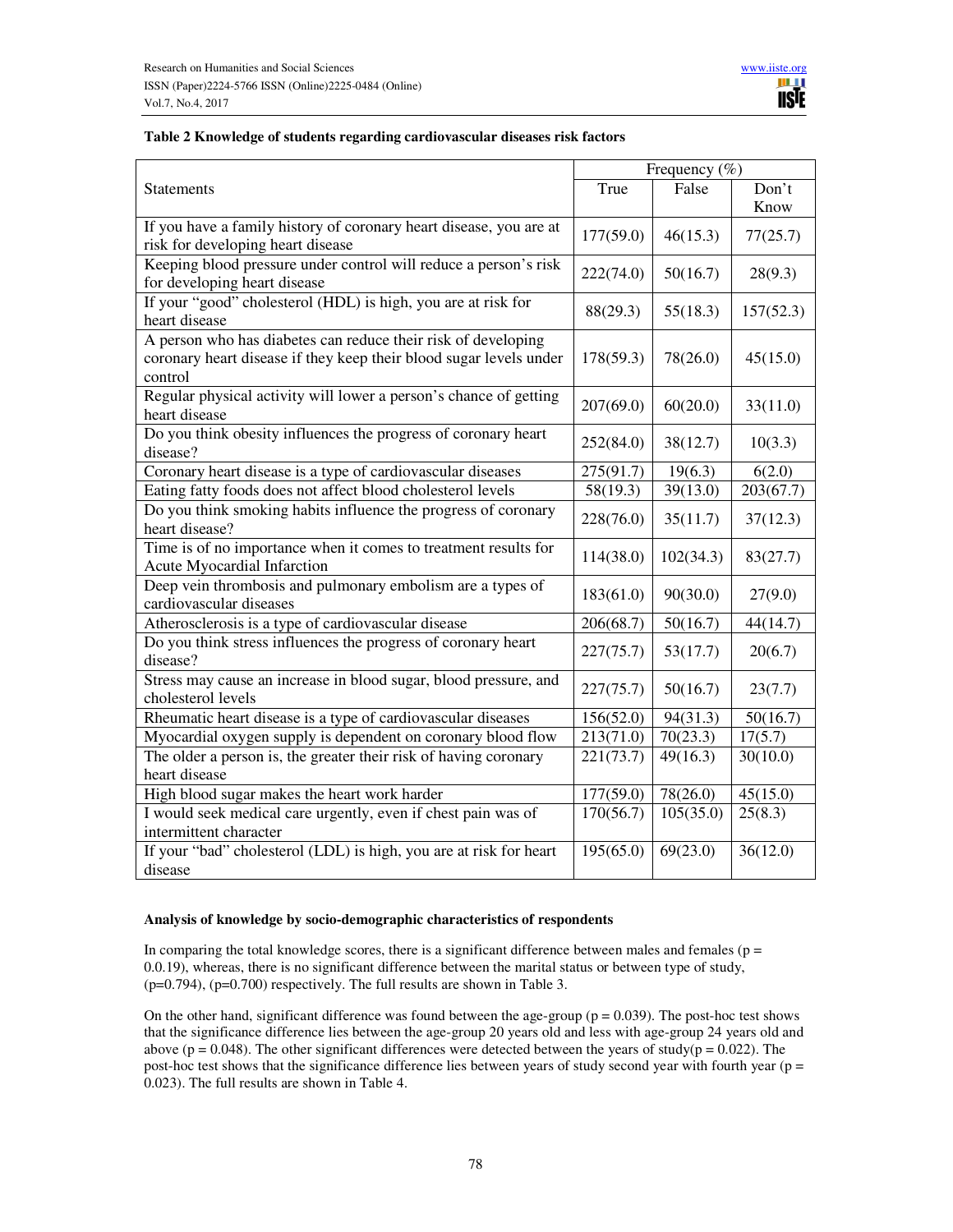# **Table 2 Knowledge of students regarding cardiovascular diseases risk factors**

|                                                                                                                                                | Frequency $(\% )$ |           |               |
|------------------------------------------------------------------------------------------------------------------------------------------------|-------------------|-----------|---------------|
| <b>Statements</b>                                                                                                                              | True              | False     | Don't<br>Know |
| If you have a family history of coronary heart disease, you are at<br>risk for developing heart disease                                        | 177(59.0)         | 46(15.3)  | 77(25.7)      |
| Keeping blood pressure under control will reduce a person's risk<br>for developing heart disease                                               | 222(74.0)         | 50(16.7)  | 28(9.3)       |
| If your "good" cholesterol (HDL) is high, you are at risk for<br>heart disease                                                                 | 88(29.3)          | 55(18.3)  | 157(52.3)     |
| A person who has diabetes can reduce their risk of developing<br>coronary heart disease if they keep their blood sugar levels under<br>control | 178(59.3)         | 78(26.0)  | 45(15.0)      |
| Regular physical activity will lower a person's chance of getting<br>heart disease                                                             | 207(69.0)         | 60(20.0)  | 33(11.0)      |
| Do you think obesity influences the progress of coronary heart<br>disease?                                                                     | 252(84.0)         | 38(12.7)  | 10(3.3)       |
| Coronary heart disease is a type of cardiovascular diseases                                                                                    | 275(91.7)         | 19(6.3)   | 6(2.0)        |
| Eating fatty foods does not affect blood cholesterol levels                                                                                    | 58(19.3)          | 39(13.0)  | 203(67.7)     |
| Do you think smoking habits influence the progress of coronary<br>heart disease?                                                               | 228(76.0)         | 35(11.7)  | 37(12.3)      |
| Time is of no importance when it comes to treatment results for<br>Acute Myocardial Infarction                                                 | 114(38.0)         | 102(34.3) | 83(27.7)      |
| Deep vein thrombosis and pulmonary embolism are a types of<br>cardiovascular diseases                                                          | 183(61.0)         | 90(30.0)  | 27(9.0)       |
| Atherosclerosis is a type of cardiovascular disease                                                                                            | 206(68.7)         | 50(16.7)  | 44(14.7)      |
| Do you think stress influences the progress of coronary heart<br>disease?                                                                      | 227(75.7)         | 53(17.7)  | 20(6.7)       |
| Stress may cause an increase in blood sugar, blood pressure, and<br>cholesterol levels                                                         | 227(75.7)         | 50(16.7)  | 23(7.7)       |
| Rheumatic heart disease is a type of cardiovascular diseases                                                                                   | 156(52.0)         | 94(31.3)  | 50(16.7)      |
| Myocardial oxygen supply is dependent on coronary blood flow                                                                                   | 213(71.0)         | 70(23.3)  | 17(5.7)       |
| The older a person is, the greater their risk of having coronary<br>heart disease                                                              | 221(73.7)         | 49(16.3)  | 30(10.0)      |
| High blood sugar makes the heart work harder                                                                                                   | 177(59.0)         | 78(26.0)  | 45(15.0)      |
| I would seek medical care urgently, even if chest pain was of<br>intermittent character                                                        | 170(56.7)         | 105(35.0) | 25(8.3)       |
| If your "bad" cholesterol (LDL) is high, you are at risk for heart<br>disease                                                                  | 195(65.0)         | 69(23.0)  | 36(12.0)      |

#### **Analysis of knowledge by socio-demographic characteristics of respondents**

In comparing the total knowledge scores, there is a significant difference between males and females ( $p =$ 0.0.19), whereas, there is no significant difference between the marital status or between type of study, (p=0.794), (p=0.700) respectively. The full results are shown in Table 3.

On the other hand, significant difference was found between the age-group ( $p = 0.039$ ). The post-hoc test shows that the significance difference lies between the age-group 20 years old and less with age-group 24 years old and above ( $p = 0.048$ ). The other significant differences were detected between the years of study( $p = 0.022$ ). The post-hoc test shows that the significance difference lies between years of study second year with fourth year ( $p =$ 0.023). The full results are shown in Table 4.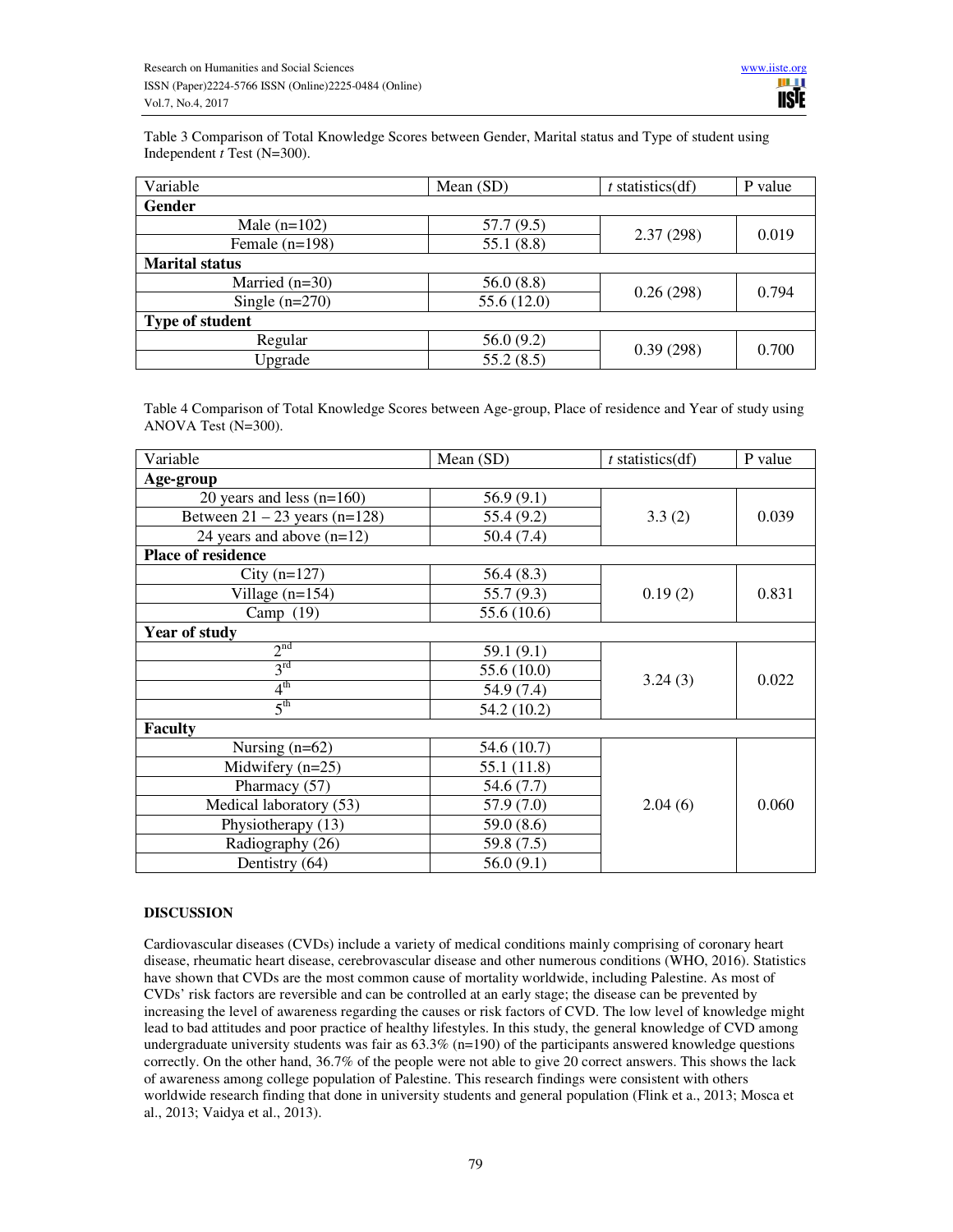Table 3 Comparison of Total Knowledge Scores between Gender, Marital status and Type of student using Independent *t* Test (N=300).

| Variable               | Mean $(SD)$ | $t$ statistics(df) | P value |  |
|------------------------|-------------|--------------------|---------|--|
| <b>Gender</b>          |             |                    |         |  |
| Male $(n=102)$         | 57.7(9.5)   | 2.37(298)          | 0.019   |  |
| Female $(n=198)$       | 55.1(8.8)   |                    |         |  |
| <b>Marital status</b>  |             |                    |         |  |
| Married $(n=30)$       | 56.0(8.8)   | 0.26(298)          | 0.794   |  |
| Single $(n=270)$       | 55.6 (12.0) |                    |         |  |
| <b>Type of student</b> |             |                    |         |  |
| Regular                | 56.0(9.2)   |                    | 0.700   |  |
| Upgrade                | 55.2(8.5)   | 0.39(298)          |         |  |

Table 4 Comparison of Total Knowledge Scores between Age-group, Place of residence and Year of study using ANOVA Test (N=300).

| Variable                        | Mean (SD)   | $t$ statistics(df) | P value |  |
|---------------------------------|-------------|--------------------|---------|--|
| Age-group                       |             |                    |         |  |
| 20 years and less $(n=160)$     | 56.9(9.1)   | 3.3(2)             | 0.039   |  |
| Between $21 - 23$ years (n=128) | 55.4 (9.2)  |                    |         |  |
| 24 years and above $(n=12)$     | 50.4(7.4)   |                    |         |  |
| <b>Place of residence</b>       |             |                    |         |  |
| City $(n=127)$                  | 56.4(8.3)   |                    |         |  |
| Village $(n=154)$               | 55.7(9.3)   | 0.19(2)            | 0.831   |  |
| Camp $(19)$                     | 55.6 (10.6) |                    |         |  |
| <b>Year of study</b>            |             |                    |         |  |
| 2 <sup>nd</sup>                 | 59.1(9.1)   |                    | 0.022   |  |
| 3 <sup>rd</sup>                 | 55.6 (10.0) | 3.24(3)            |         |  |
| $4^{\rm th}$                    | 54.9 (7.4)  |                    |         |  |
| $5^{\text{th}}$                 | 54.2 (10.2) |                    |         |  |
| <b>Faculty</b>                  |             |                    |         |  |
| Nursing $(n=62)$                | 54.6 (10.7) |                    | 0.060   |  |
| Midwifery $(n=25)$              | 55.1(11.8)  | 2.04(6)            |         |  |
| Pharmacy (57)                   | 54.6 (7.7)  |                    |         |  |
| Medical laboratory (53)         | 57.9 (7.0)  |                    |         |  |
| Physiotherapy (13)              | 59.0(8.6)   |                    |         |  |
| Radiography (26)                | 59.8 (7.5)  |                    |         |  |
| Dentistry (64)                  | 56.0(9.1)   |                    |         |  |

# **DISCUSSION**

Cardiovascular diseases (CVDs) include a variety of medical conditions mainly comprising of coronary heart disease, rheumatic heart disease, cerebrovascular disease and other numerous conditions (WHO, 2016). Statistics have shown that CVDs are the most common cause of mortality worldwide, including Palestine. As most of CVDs' risk factors are reversible and can be controlled at an early stage; the disease can be prevented by increasing the level of awareness regarding the causes or risk factors of CVD. The low level of knowledge might lead to bad attitudes and poor practice of healthy lifestyles. In this study, the general knowledge of CVD among undergraduate university students was fair as  $63.3\%$  (n=190) of the participants answered knowledge questions correctly. On the other hand, 36.7% of the people were not able to give 20 correct answers. This shows the lack of awareness among college population of Palestine. This research findings were consistent with others worldwide research finding that done in university students and general population (Flink et a., 2013; Mosca et al., 2013; Vaidya et al., 2013).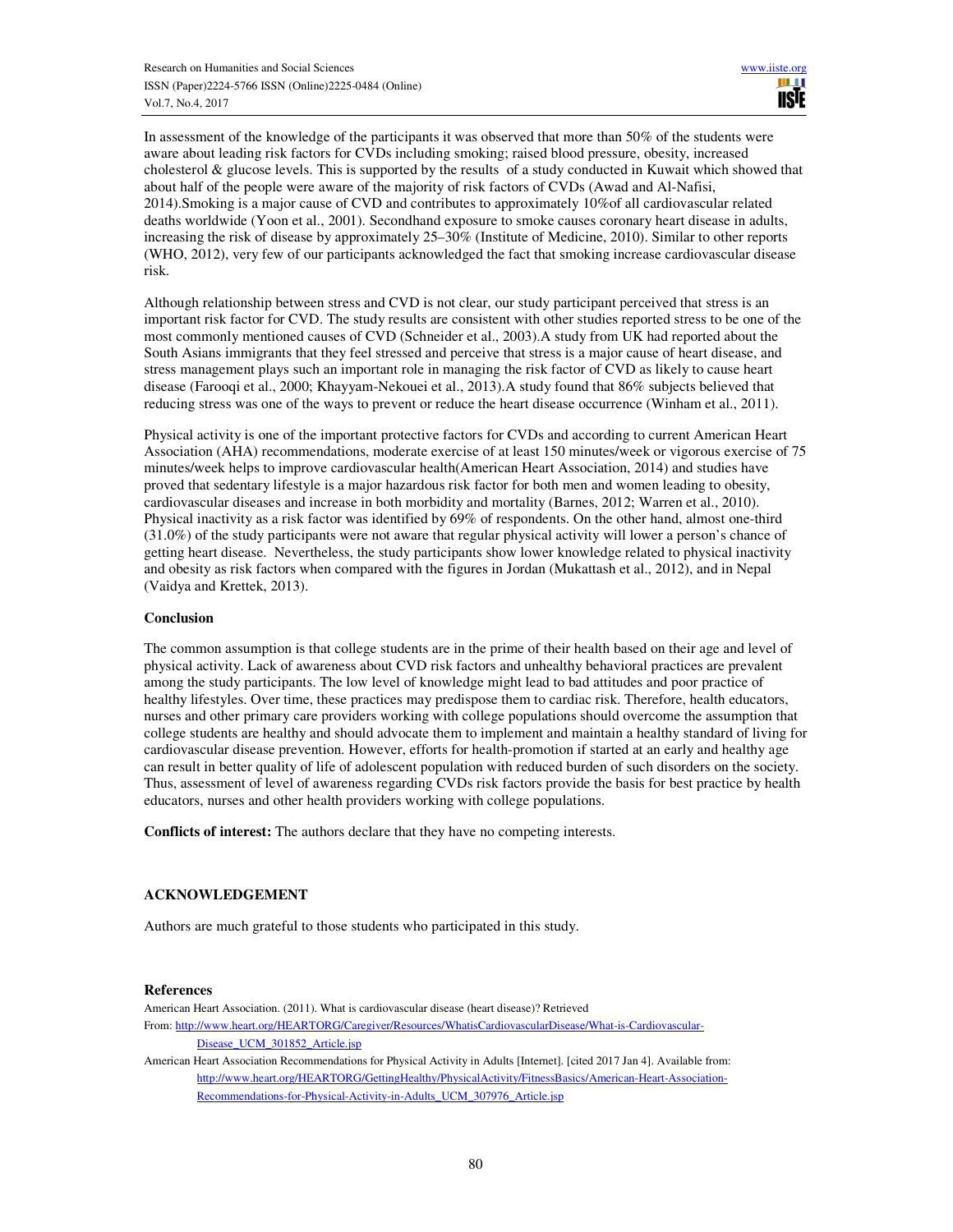In assessment of the knowledge of the participants it was observed that more than 50% of the students were aware about leading risk factors for CVDs including smoking; raised blood pressure, obesity, increased cholesterol & glucose levels. This is supported by the results of a study conducted in Kuwait which showed that about half of the people were aware of the majority of risk factors of CVDs (Awad and Al-Nafisi, 2014).Smoking is a major cause of CVD and contributes to approximately 10%of all cardiovascular related deaths worldwide (Yoon et al., 2001). Secondhand exposure to smoke causes coronary heart disease in adults, increasing the risk of disease by approximately 25–30% (Institute of Medicine, 2010). Similar to other reports (WHO, 2012), very few of our participants acknowledged the fact that smoking increase cardiovascular disease risk.

Although relationship between stress and CVD is not clear, our study participant perceived that stress is an important risk factor for CVD. The study results are consistent with other studies reported stress to be one of the most commonly mentioned causes of CVD (Schneider et al., 2003).A study from UK had reported about the South Asians immigrants that they feel stressed and perceive that stress is a major cause of heart disease, and stress management plays such an important role in managing the risk factor of CVD as likely to cause heart disease (Farooqi et al., 2000; Khayyam-Nekouei et al., 2013).A study found that 86% subjects believed that reducing stress was one of the ways to prevent or reduce the heart disease occurrence (Winham et al., 2011).

Physical activity is one of the important protective factors for CVDs and according to current American Heart Association (AHA) recommendations, moderate exercise of at least 150 minutes/week or vigorous exercise of 75 minutes/week helps to improve cardiovascular health(American Heart Association, 2014) and studies have proved that sedentary lifestyle is a major hazardous risk factor for both men and women leading to obesity, cardiovascular diseases and increase in both morbidity and mortality (Barnes, 2012; Warren et al., 2010). Physical inactivity as a risk factor was identified by 69% of respondents. On the other hand, almost one-third (31.0%) of the study participants were not aware that regular physical activity will lower a person's chance of getting heart disease. Nevertheless, the study participants show lower knowledge related to physical inactivity and obesity as risk factors when compared with the figures in Jordan (Mukattash et al., 2012), and in Nepal (Vaidya and Krettek, 2013).

#### **Conclusion**

The common assumption is that college students are in the prime of their health based on their age and level of physical activity. Lack of awareness about CVD risk factors and unhealthy behavioral practices are prevalent among the study participants. The low level of knowledge might lead to bad attitudes and poor practice of healthy lifestyles. Over time, these practices may predispose them to cardiac risk. Therefore, health educators, nurses and other primary care providers working with college populations should overcome the assumption that college students are healthy and should advocate them to implement and maintain a healthy standard of living for cardiovascular disease prevention. However, efforts for health-promotion if started at an early and healthy age can result in better quality of life of adolescent population with reduced burden of such disorders on the society. Thus, assessment of level of awareness regarding CVDs risk factors provide the basis for best practice by health educators, nurses and other health providers working with college populations.

**Conflicts of interest:** The authors declare that they have no competing interests.

# **ACKNOWLEDGEMENT**

Authors are much grateful to those students who participated in this study.

# **References**

American Heart Association. (2011). What is cardiovascular disease (heart disease)? Retrieved From: http://www.heart.org/HEARTORG/Caregiver/Resources/WhatisCardiovascularDisease/What-is-Cardiovascular-Disease\_UCM\_301852\_Article.jsp

American Heart Association Recommendations for Physical Activity in Adults [Internet]. [cited 2017 Jan 4]. Available from: http://www.heart.org/HEARTORG/GettingHealthy/PhysicalActivity/FitnessBasics/American-Heart-Association-Recommendations-for-Physical-Activity-in-Adults\_UCM\_307976\_Article.jsp